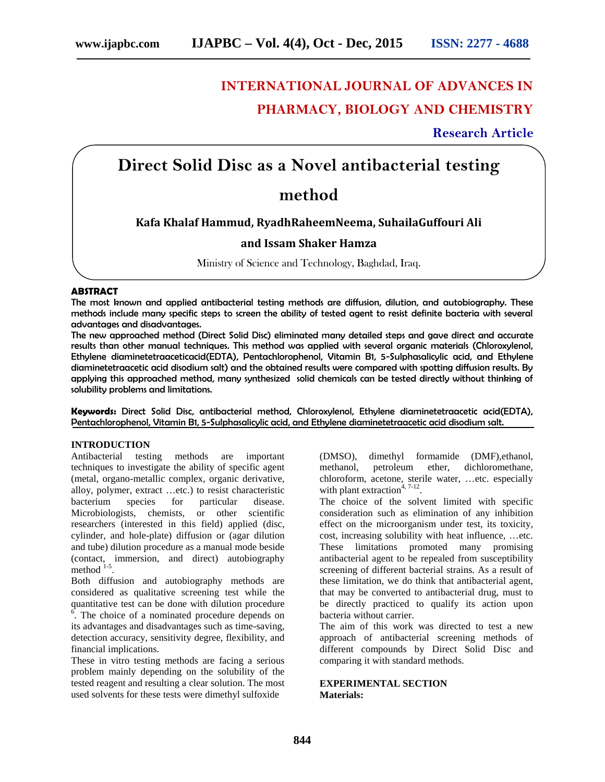# **INTERNATIONAL JOURNAL OF ADVANCES IN PHARMACY, BIOLOGY AND CHEMISTRY**

## **Research Article**

## **Direct Solid Disc as a Novel antibacterial testing**

## **method**

### **Kafa Khalaf Hammud, RyadhRaheemNeema, SuhailaGuffouri Ali**

### **and Issam Shaker Hamza**

Ministry of Science and Technology, Baghdad, Iraq.

#### **ABSTRACT**

The most known and applied antibacterial testing methods are diffusion, dilution, and autobiography. These methods include many specific steps to screen the ability of tested agent to resist definite bacteria with several advantages and disadvantages.

The new approached method (Direct Solid Disc) eliminated many detailed steps and gave direct and accurate results than other manual techniques. This method was applied with several organic materials (Chloroxylenol, Ethylene diaminetetraaceticacid(EDTA), Pentachlorophenol, Vitamin B1, 5-Sulphasalicylic acid, and Ethylene diaminetetraacetic acid disodium salt) and the obtained results were compared with spotting diffusion results. By applying this approached method, many synthesized solid chemicals can be tested directly without thinking of solubility problems and limitations.

**Keywords:** Direct Solid Disc, antibacterial method, Chloroxylenol, Ethylene diaminetetraacetic acid(EDTA), Pentachlorophenol, Vitamin B1, 5-Sulphasalicylic acid, and Ethylene diaminetetraacetic acid disodium salt.

#### **INTRODUCTION**

Antibacterial testing methods are important techniques to investigate the ability of specific agent (metal, organo-metallic complex, organic derivative, alloy, polymer, extract …etc.) to resist characteristic bacterium species for particular disease. Microbiologists, chemists, or other scientific researchers (interested in this field) applied (disc, cylinder, and hole-plate) diffusion or (agar dilution and tube) dilution procedure as a manual mode beside (contact, immersion, and direct) autobiography method  $1-5$ .

Both diffusion and autobiography methods are considered as qualitative screening test while the quantitative test can be done with dilution procedure  $\frac{6}{6}$ . The choice of a nominated procedure depends on its advantages and disadvantages such as time-saving, detection accuracy, sensitivity degree, flexibility, and financial implications.

These in vitro testing methods are facing a serious problem mainly depending on the solubility of the tested reagent and resulting a clear solution. The most used solvents for these tests were dimethyl sulfoxide

(DMSO), dimethyl formamide (DMF),ethanol, methanol, petroleum ether, dichloromethane, chloroform, acetone, sterile water, …etc. especially with plant extraction<sup>4, 7-12</sup>.

The choice of the solvent limited with specific consideration such as elimination of any inhibition effect on the microorganism under test, its toxicity, cost, increasing solubility with heat influence, …etc. These limitations promoted many promising antibacterial agent to be repealed from susceptibility screening of different bacterial strains. As a result of these limitation, we do think that antibacterial agent, that may be converted to antibacterial drug, must to be directly practiced to qualify its action upon bacteria without carrier.

The aim of this work was directed to test a new approach of antibacterial screening methods of different compounds by Direct Solid Disc and comparing it with standard methods.

#### **EXPERIMENTAL SECTION Materials:**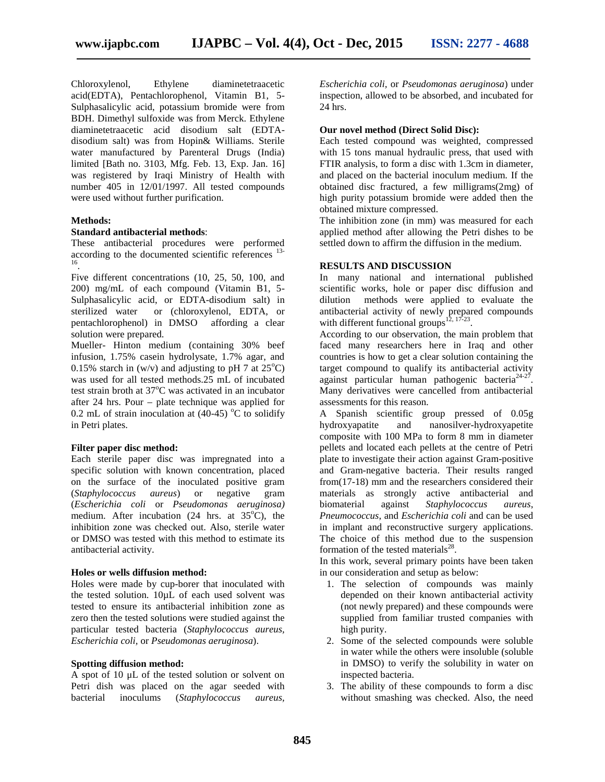Chloroxylenol, Ethylene diaminetetraacetic acid(EDTA), Pentachlorophenol, Vitamin B1, 5- Sulphasalicylic acid, potassium bromide were from BDH. Dimethyl sulfoxide was from Merck. Ethylene diaminetetraacetic acid disodium salt (EDTA disodium salt) was from Hopin& Williams. Sterile water manufactured by Parenteral Drugs (India) limited [Bath no. 3103, Mfg. Feb. 13, Exp. Jan. 16] was registered by Iraqi Ministry of Health with number 405 in 12/01/1997. All tested compounds were used without further purification.

#### **Methods:**

#### **Standard antibacterial methods**:

These antibacterial procedures were performed according to the documented scientific references <sup>13-</sup> .

Five different concentrations (10, 25, 50, 100, and 200) mg/mL of each compound (Vitamin B1, 5- Sulphasalicylic acid, or EDTA-disodium salt) in sterilized water or (chloroxylenol, EDTA, or pentachlorophenol) in DMSO affording a clear solution were prepared.

Mueller- Hinton medium (containing 30% beef infusion, 1.75% casein hydrolysate, 1.7% agar, and 0.15% starch in (w/v) and adjusting to pH 7 at  $25^{\circ}$ C) was used for all tested methods.25 mL of incubated test strain broth at  $37^{\circ}$ C was activated in an incubator after 24 hrs. Pour – plate technique was applied for 0.2 mL of strain inoculation at  $(40-45)$  °C to solidify in Petri plates.

#### **Filter paper disc method:**

Each sterile paper disc was impregnated into a specific solution with known concentration, placed on the surface of the inoculated positive gram (*Staphylococcus aureus*) or negative gram (*Escherichia coli* or *Pseudomonas aeruginosa)* medium. After incubation  $(24 \text{ hrs. at } 35^{\circ}\text{C})$ , the inhibition zone was checked out. Also, sterile water or DMSO was tested with this method to estimate its antibacterial activity.

#### **Holes or wells diffusion method:**

Holes were made by cup-borer that inoculated with the tested solution. 10µL of each used solvent was tested to ensure its antibacterial inhibition zone as zero then the tested solutions were studied against the particular tested bacteria (*Staphylococcus aureus, Escherichia coli,* or *Pseudomonas aeruginosa*).

#### **Spotting diffusion method:**

A spot of 10 μL of the tested solution or solvent on Petri dish was placed on the agar seeded with bacterial inoculums (*Staphylococcus aureus,*

*Escherichia coli,* or *Pseudomonas aeruginosa*) under inspection, allowed to be absorbed, and incubated for 24 hrs.

#### **Our novel method (Direct Solid Disc):**

Each tested compound was weighted, compressed with 15 tons manual hydraulic press, that used with FTIR analysis, to form a disc with 1.3cm in diameter, and placed on the bacterial inoculum medium. If the obtained disc fractured, a few milligrams(2mg) of high purity potassium bromide were added then the obtained mixture compressed.

The inhibition zone (in mm) was measured for each applied method after allowing the Petri dishes to be settled down to affirm the diffusion in the medium.

#### **RESULTS AND DISCUSSION**

In many national and international published scientific works, hole or paper disc diffusion and dilution methods were applied to evaluate the antibacterial activity of newly prepared compounds with different functional groups $12, 17-23$ .

According to our observation, the main problem that faced many researchers here in Iraq and other countries is how to get a clear solution containing the target compound to qualify its antibacterial activity against particular human pathogenic bacteria $24-27$ . Many derivatives were cancelled from antibacterial assessments for this reason.

A Spanish scientific group pressed of 0.05g hydroxyapatite and nanosilver-hydroxyapetite composite with 100 MPa to form 8 mm in diameter pellets and located each pellets at the centre of Petri plate to investigate their action against Gram-positive and Gram-negative bacteria. Their results ranged from(17-18) mm and the researchers considered their materials as strongly active antibacterial and biomaterial against *Staphylococcus aureus*, *Pneumococcus*, and *Escherichia coli* and can be used in implant and reconstructive surgery applications. The choice of this method due to the suspension formation of the tested materials $^{28}$ .

In this work, several primary points have been taken in our consideration and setup as below:

- 1. The selection of compounds was mainly depended on their known antibacterial activity (not newly prepared) and these compounds were supplied from familiar trusted companies with high purity.
- 2. Some of the selected compounds were soluble in water while the others were insoluble (soluble in DMSO) to verify the solubility in water on inspected bacteria.
- 3. The ability of these compounds to form a disc without smashing was checked. Also, the need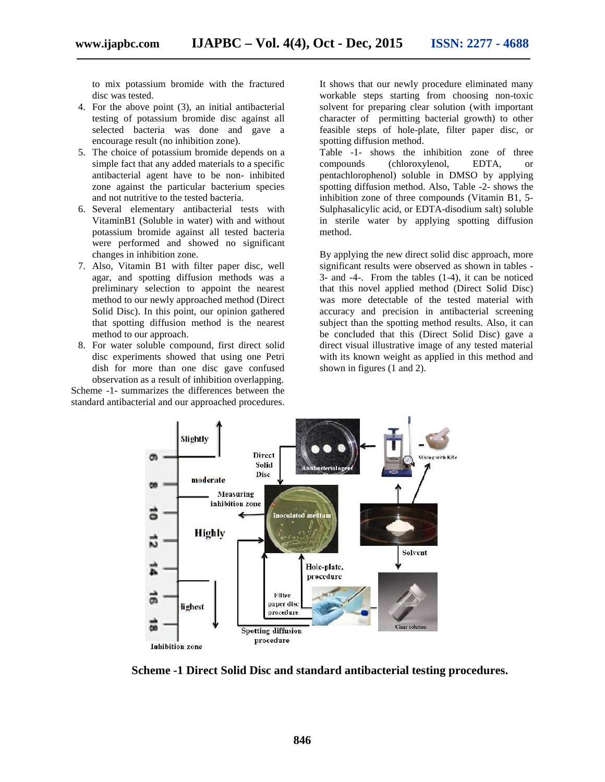to mix potassium bromide with the fractured disc was tested.

- 4. For the above point (3), an initial antibacterial testing of potassium bromide disc against all selected bacteria was done and gave a encourage result (no inhibition zone).
- 5. The choice of potassium bromide depends on a simple fact that any added materials to a specific antibacterial agent have to be non- inhibited zone against the particular bacterium species and not nutritive to the tested bacteria.
- 6. Several elementary antibacterial tests with VitaminB1 (Soluble in water) with and without potassium bromide against all tested bacteria were performed and showed no significant changes in inhibition zone.
- 7. Also, Vitamin B1 with filter paper disc, well agar, and spotting diffusion methods was a preliminary selection to appoint the nearest method to our newly approached method (Direct Solid Disc). In this point, our opinion gathered that spotting diffusion method is the nearest method to our approach.
- 8. For water soluble compound, first direct solid disc experiments showed that using one Petri dish for more than one disc gave confused observation as a result of inhibition overlapping.

Scheme -1- summarizes the differences between the standard antibacterial and our approached procedures. It shows that our newly procedure eliminated many workable steps starting from choosing non-toxic solvent for preparing clear solution (with important character of permitting bacterial growth) to other feasible steps of hole-plate, filter paper disc, or spotting diffusion method.

Table -1- shows the inhibition zone of three compounds (chloroxylenol, EDTA, or pentachlorophenol) soluble in DMSO by applying spotting diffusion method. Also, Table -2- shows the inhibition zone of three compounds (Vitamin B1, 5- Sulphasalicylic acid, or EDTA-disodium salt) soluble in sterile water by applying spotting diffusion method.

By applying the new direct solid disc approach, more significant results were observed as shown in tables - 3- and -4-. From the tables (1-4), it can be noticed that this novel applied method (Direct Solid Disc) was more detectable of the tested material with accuracy and precision in antibacterial screening subject than the spotting method results. Also, it can be concluded that this (Direct Solid Disc) gave a direct visual illustrative image of any tested material with its known weight as applied in this method and shown in figures (1 and 2).



**Scheme -1 Direct Solid Disc and standard antibacterial testing procedures.**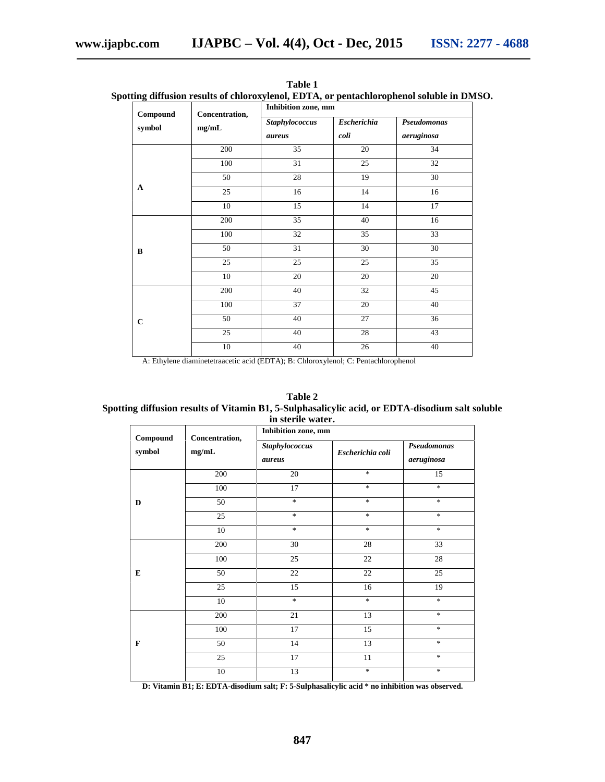|                                     | Concentration,<br>$\mathbf{mg}/\mathbf{mL}$ | Inhibition zone, mm             |                            |                           |
|-------------------------------------|---------------------------------------------|---------------------------------|----------------------------|---------------------------|
| $\operatorname{Compound}$<br>symbol |                                             | <b>Staphylococcus</b><br>aureus | <b>Escherichia</b><br>coli | Pseudomonas<br>aeruginosa |
|                                     | 200                                         | 35                              | 20                         | 34                        |
|                                     | 100                                         | 31                              | 25                         | 32                        |
|                                     | 50                                          | 28                              | 19                         | 30                        |
| $\mathbf A$                         | 25                                          | 16                              | 14                         | 16                        |
|                                     | 10                                          | 15                              | 14                         | 17                        |
| $\bf{B}$                            | 200                                         | 35                              | $40\,$                     | 16                        |
|                                     | 100                                         | 32                              | 35                         | $\overline{33}$           |
|                                     | 50                                          | 31                              | $30\,$                     | 30                        |
|                                     | 25                                          | 25                              | 25                         | 35                        |
|                                     | 10                                          | 20                              | 20                         | 20                        |
| $\mathbf C$                         | 200                                         | 40                              | 32                         | 45                        |
|                                     | 100                                         | $\overline{37}$                 | 20                         | 40                        |
|                                     | 50                                          | 40                              | 27                         | 36                        |
|                                     | 25                                          | 40                              | 28                         | 43                        |
|                                     | 10                                          | 40                              | 26                         | 40                        |

**Table 1 Spotting diffusion results of chloroxylenol, EDTA, or pentachlorophenol soluble in DMSO.**

A: Ethylene diaminetetraacetic acid (EDTA); B: Chloroxylenol; C: Pentachlorophenol

| Table 2                                                                                         |
|-------------------------------------------------------------------------------------------------|
| Spotting diffusion results of Vitamin B1, 5-Sulphasalicylic acid, or EDTA-disodium salt soluble |
| in sterile water.                                                                               |

| Compound     | Concentration,<br>mg/mL | Inhibition zone, mm      |                  |                           |
|--------------|-------------------------|--------------------------|------------------|---------------------------|
| symbol       |                         | Staphylococcus<br>aureus | Escherichia coli | Pseudomonas<br>aeruginosa |
| D            | 200                     | 20                       | $\ast$           | 15                        |
|              | 100                     | 17                       | $\ast$           | $\ast$                    |
|              | 50                      | $\ast$                   | $\ast$           | $\ast$                    |
|              | 25                      | $\ast$                   | $\ast$           | $\frac{1}{2}$             |
|              | 10                      | $\ast$                   | $\ast$           | $\frac{1}{2}$             |
| E            | 200                     | 30                       | 28               | 33                        |
|              | 100                     | 25                       | $22\,$           | $28\,$                    |
|              | 50                      | 22                       | $22\,$           | 25                        |
|              | 25                      | 15                       | 16               | 19                        |
|              | 10                      | $\ast$                   | $\ast$           | $\frac{1}{2}$             |
| $\mathbf{F}$ | 200                     | 21                       | 13               | $\ast$                    |
|              | 100                     | 17                       | 15               | $\ast$                    |
|              | 50                      | 14                       | 13               | $\ast$                    |
|              | $\overline{25}$         | 17                       | 11               | $\frac{1}{2}$             |
|              | $10\,$                  | 13                       | $*$              | $\ast$                    |

**D: Vitamin B1; E: EDTA-disodium salt; F: 5-Sulphasalicylic acid \* no inhibition was observed.**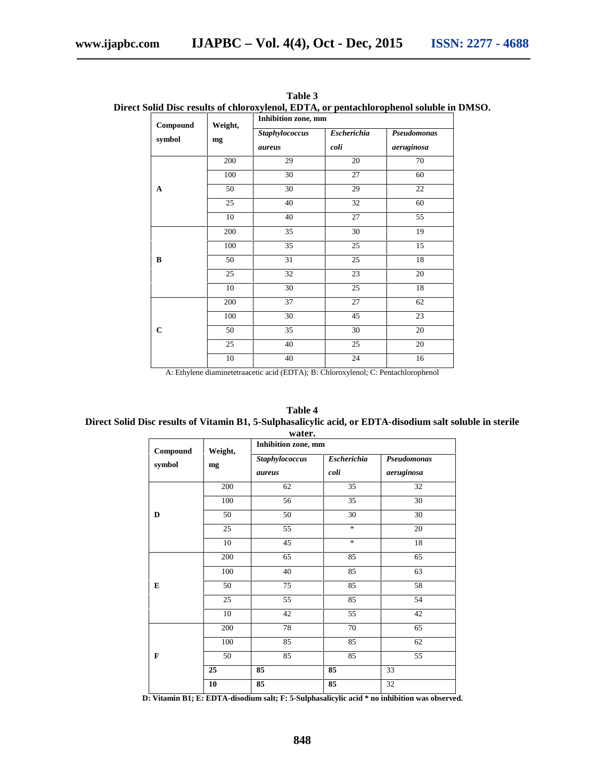| Compound<br>symbol | Weight,<br>mg | Inhibition zone, mm      |                            |                           |
|--------------------|---------------|--------------------------|----------------------------|---------------------------|
|                    |               | Staphylococcus<br>aureus | <b>Escherichia</b><br>coli | Pseudomonas<br>aeruginosa |
| A                  | 200           | 29                       | 20                         | 70                        |
|                    | 100           | 30                       | 27                         | 60                        |
|                    | 50            | 30                       | 29                         | 22                        |
|                    | 25            | 40                       | 32                         | 60                        |
|                    | $10\,$        | 40                       | 27                         | 55                        |
| B                  | 200           | 35                       | 30                         | 19                        |
|                    | 100           | 35                       | 25                         | 15                        |
|                    | 50            | 31                       | 25                         | 18                        |
|                    | 25            | 32                       | 23                         | 20                        |
|                    | 10            | 30                       | 25                         | 18                        |
| $\mathbf C$        | 200           | 37                       | 27                         | 62                        |
|                    | 100           | 30                       | 45                         | 23                        |
|                    | 50            | 35                       | 30                         | 20                        |
|                    | 25            | 40                       | $25\,$                     | $20\,$                    |
|                    | 10            | 40                       | 24                         | 16                        |

**Table 3 Direct Solid Disc results of chloroxylenol, EDTA, or pentachlorophenol soluble in DMSO.**

A: Ethylene diaminetetraacetic acid (EDTA); B: Chloroxylenol; C: Pentachlorophenol

**Table 4 Direct Solid Disc results of Vitamin B1, 5-Sulphasalicylic acid, or EDTA-disodium salt soluble in sterile water.**

| waiti.                                     |               |                     |                    |             |  |
|--------------------------------------------|---------------|---------------------|--------------------|-------------|--|
| $\label{subeq:compound} \textbf{Compound}$ | Weight,<br>mg | Inhibition zone, mm |                    |             |  |
| symbol                                     |               | Staphylococcus      | <b>Escherichia</b> | Pseudomonas |  |
|                                            |               | aureus              | coli               | aeruginosa  |  |
| D                                          | 200           | 62                  | 35                 | 32          |  |
|                                            | 100           | 56                  | 35                 | 30          |  |
|                                            | 50            | 50                  | 30                 | $30\,$      |  |
|                                            | 25            | 55                  | $\ast$             | $20\,$      |  |
|                                            | $10\,$        | 45                  | $\ast$             | 18          |  |
| E                                          | 200           | 65                  | 85                 | 65          |  |
|                                            | 100           | 40                  | 85                 | 63          |  |
|                                            | 50            | 75                  | 85                 | 58          |  |
|                                            | 25            | 55                  | 85                 | 54          |  |
|                                            | 10            | 42                  | 55                 | 42          |  |
| F                                          | 200           | 78                  | 70                 | 65          |  |
|                                            | 100           | 85                  | 85                 | 62          |  |
|                                            | 50            | 85                  | 85                 | 55          |  |
|                                            | 25            | 85                  | 85                 | 33          |  |
|                                            | 10            | 85                  | 85                 | 32          |  |

**D: Vitamin B1; E: EDTA-disodium salt; F: 5-Sulphasalicylic acid \* no inhibition was observed.**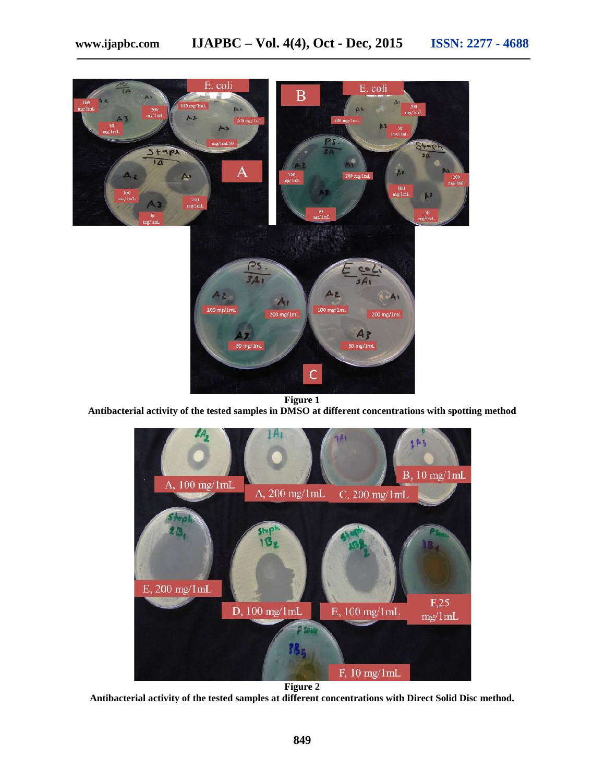

**Figure 1**

**Antibacterial activity of the tested samples in DMSO at different concentrations with spotting method**



**Antibacterial activity of the tested samples at different concentrations with Direct Solid Disc method.**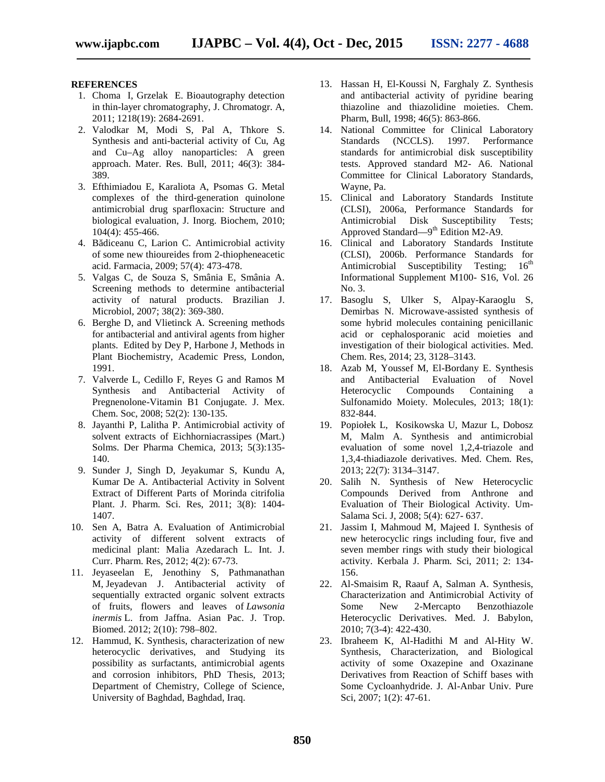#### **REFERENCES**

- 1. Choma I, Grzelak E. Bioautography detection in thin-layer chromatography, J. Chromatogr. A, 2011; 1218(19): 2684-2691.
- 2. Valodkar M, Modi S, Pal A, Thkore S. Synthesis and anti-bacterial activity of Cu, Ag and Cu–Ag alloy nanoparticles: A green approach. Mater. Res. Bull, 2011; 46(3): 384- 389.
- 3. Efthimiadou E, Karaliota A, Psomas G. Metal complexes of the third-generation quinolone antimicrobial drug sparfloxacin: Structure and biological evaluation, J. Inorg. Biochem, 2010; 104(4): 455-466.
- 4. B diceanu C, Larion C. Antimicrobial activity of some new thioureides from 2-thiopheneacetic acid. Farmacia, 2009; 57(4): 473-478.
- 5. Valgas C, de Souza S, Smânia E, Smânia A. Screening methods to determine antibacterial activity of natural products. Brazilian J. Microbiol*,* 2007; 38(2): 369-380.
- 6. Berghe D, and Vlietinck A. Screening methods for antibacterial and antiviral agents from higher plants. Edited by Dey P, Harbone J, Methods in Plant Biochemistry, Academic Press, London, 1991.
- 7. Valverde L, Cedillo F, Reyes G and Ramos M Synthesis and Antibacterial Activity of Pregnenolone-Vitamin B1 Conjugate. J. Mex. Chem. Soc, 2008; 52(2): 130-135.
- 8. Jayanthi P, Lalitha P. Antimicrobial activity of solvent extracts of Eichhorniacrassipes (Mart.) Solms. Der Pharma Chemica, 2013; 5(3):135- 140.
- 9. Sunder J, Singh D, Jeyakumar S, Kundu A, Kumar De A. Antibacterial Activity in Solvent Extract of Different Parts of Morinda citrifolia Plant. J. Pharm. Sci. Res, 2011; 3(8): 1404- 1407.
- 10. Sen A, Batra A. Evaluation of Antimicrobial activity of different solvent extracts of medicinal plant: Malia Azedarach L. Int. J. Curr. Pharm. Res, 2012; 4(2): 67-73.
- 11. Jeyaseelan E, Jenothiny S, Pathmanathan M, Jeyadevan J. Antibacterial activity of sequentially extracted organic solvent extracts of fruits, flowers and leaves of *Lawsonia inermis* L. from Jaffna. Asian Pac. J. Trop. Biomed. 2012; 2(10): 798–802.
- 12. Hammud, K. Synthesis, characterization of new heterocyclic derivatives, and Studying its possibility as surfactants, antimicrobial agents and corrosion inhibitors, PhD Thesis, 2013; Department of Chemistry, College of Science, University of Baghdad, Baghdad, Iraq.
- 13. Hassan H, El-Koussi N, Farghaly Z. Synthesis and antibacterial activity of pyridine bearing thiazoline and thiazolidine moieties. Chem. Pharm, Bull, 1998; 46(5): 863-866.
- 14. National Committee for Clinical Laboratory Standards (NCCLS). 1997. Performance standards for antimicrobial disk susceptibility tests. Approved standard M2- A6. National Committee for Clinical Laboratory Standards, Wayne, Pa.
- 15. Clinical and Laboratory Standards Institute (CLSI), 2006a, Performance Standards for Antimicrobial Disk Susceptibility Tests; Approved Standard—9<sup>th</sup> Edition M2-A9.
- 16. Clinical and Laboratory Standards Institute (CLSI), 2006b. Performance Standards for Antimicrobial Susceptibility Testing;  $16^{th}$ Informational Supplement M100- S16, Vol. 26 No. 3.
- 17. Basoglu S, Ulker S, Alpay-Karaoglu S, Demirbas N. Microwave-assisted synthesis of some hybrid molecules containing penicillanic acid or cephalosporanic acid moieties and investigation of their biological activities. Med. Chem. Res, 2014; 23, 3128–3143.
- 18. Azab M, Youssef M, El-Bordany E. Synthesis and Antibacterial Evaluation of Novel Heterocyclic Compounds Containing a Sulfonamido Moiety. Molecules, 2013; 18(1): 832-844.
- 19. Popiołek L, Kosikowska U, Mazur L, Dobosz M, Malm A. Synthesis and antimicrobial evaluation of some novel 1,2,4-triazole and 1,3,4-thiadiazole derivatives. Med. Chem. Res, 2013; 22(7): 3134–3147.
- 20. Salih N. Synthesis of New Heterocyclic Compounds Derived from Anthrone and Evaluation of Their Biological Activity. Um- Salama Sci. J, 2008; 5(4): 627- 637.
- 21. Jassim I, Mahmoud M, Majeed I. Synthesis of new heterocyclic rings including four, five and seven member rings with study their biological activity. Kerbala J. Pharm. Sci, 2011; 2: 134- 156.
- 22. Al-Smaisim R, Raauf A, Salman A. Synthesis, Characterization and Antimicrobial Activity of Some New 2-Mercapto Benzothiazole Heterocyclic Derivatives. Med. J. Babylon, 2010; 7(3-4): 422-430.
- 23. Ibraheem K, Al-Hadithi M and Al-Hity W. Synthesis, Characterization, and Biological activity of some Oxazepine and Oxazinane Derivatives from Reaction of Schiff bases with Some Cycloanhydride. J. Al-Anbar Univ. Pure Sci, 2007; 1(2): 47-61.